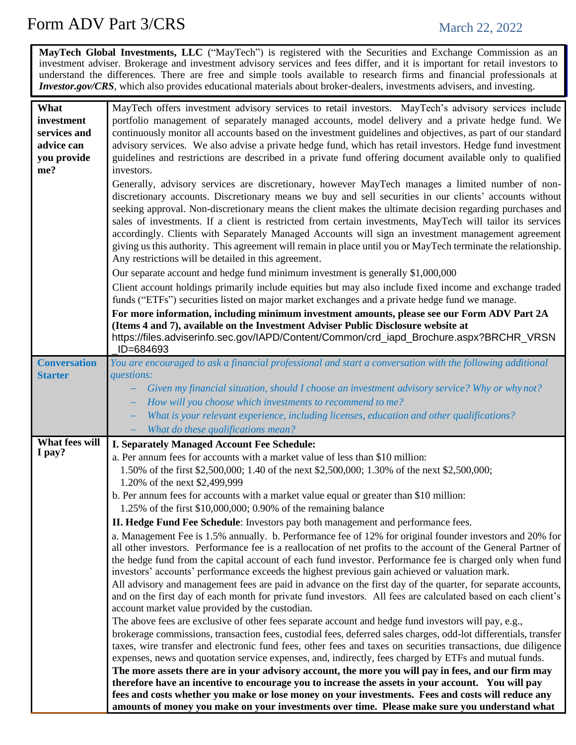## Form ADV Part 3/CRS March 22, 2022

**MayTech Global Investments, LLC** ("MayTech") is registered with the Securities and Exchange Commission as an investment adviser. Brokerage and investment advisory services and fees differ, and it is important for retail investors to understand the differences. There are free and simple tools available to research firms and financial professionals at *Investor.gov/CRS*, which also provides educational materials about broker-dealers, investments advisers, and investing.

| What                     |                                                                                                                                                                                                    |
|--------------------------|----------------------------------------------------------------------------------------------------------------------------------------------------------------------------------------------------|
|                          | MayTech offers investment advisory services to retail investors. MayTech's advisory services include                                                                                               |
| investment               | portfolio management of separately managed accounts, model delivery and a private hedge fund. We                                                                                                   |
| services and             | continuously monitor all accounts based on the investment guidelines and objectives, as part of our standard                                                                                       |
| advice can               | advisory services. We also advise a private hedge fund, which has retail investors. Hedge fund investment                                                                                          |
| you provide              | guidelines and restrictions are described in a private fund offering document available only to qualified                                                                                          |
| me?                      | investors.                                                                                                                                                                                         |
|                          | Generally, advisory services are discretionary, however MayTech manages a limited number of non-                                                                                                   |
|                          | discretionary accounts. Discretionary means we buy and sell securities in our clients' accounts without                                                                                            |
|                          | seeking approval. Non-discretionary means the client makes the ultimate decision regarding purchases and                                                                                           |
|                          | sales of investments. If a client is restricted from certain investments, MayTech will tailor its services                                                                                         |
|                          | accordingly. Clients with Separately Managed Accounts will sign an investment management agreement                                                                                                 |
|                          | giving us this authority. This agreement will remain in place until you or MayTech terminate the relationship.                                                                                     |
|                          | Any restrictions will be detailed in this agreement.                                                                                                                                               |
|                          | Our separate account and hedge fund minimum investment is generally \$1,000,000                                                                                                                    |
|                          |                                                                                                                                                                                                    |
|                          | Client account holdings primarily include equities but may also include fixed income and exchange traded                                                                                           |
|                          | funds ("ETFs") securities listed on major market exchanges and a private hedge fund we manage.                                                                                                     |
|                          | For more information, including minimum investment amounts, please see our Form ADV Part 2A                                                                                                        |
|                          | (Items 4 and 7), available on the Investment Adviser Public Disclosure website at                                                                                                                  |
|                          | https://files.adviserinfo.sec.gov/IAPD/Content/Common/crd_iapd_Brochure.aspx?BRCHR_VRSN                                                                                                            |
|                          | ID=684693                                                                                                                                                                                          |
| <b>Conversation</b>      | You are encouraged to ask a financial professional and start a conversation with the following additional                                                                                          |
| <b>Starter</b>           | questions:                                                                                                                                                                                         |
|                          | Given my financial situation, should I choose an investment advisory service? Why or whynot?                                                                                                       |
|                          | How will you choose which investments to recommend to me?                                                                                                                                          |
|                          | What is your relevant experience, including licenses, education and other qualifications?                                                                                                          |
|                          | What do these qualifications mean?                                                                                                                                                                 |
|                          |                                                                                                                                                                                                    |
|                          |                                                                                                                                                                                                    |
| What fees will<br>I pay? | I. Separately Managed Account Fee Schedule:                                                                                                                                                        |
|                          | a. Per annum fees for accounts with a market value of less than \$10 million:                                                                                                                      |
|                          | 1.50% of the first \$2,500,000; 1.40 of the next \$2,500,000; 1.30% of the next \$2,500,000;                                                                                                       |
|                          | 1.20% of the next \$2,499,999                                                                                                                                                                      |
|                          | b. Per annum fees for accounts with a market value equal or greater than \$10 million:                                                                                                             |
|                          | 1.25% of the first $$10,000,000; 0.90%$ of the remaining balance                                                                                                                                   |
|                          | II. Hedge Fund Fee Schedule: Investors pay both management and performance fees.                                                                                                                   |
|                          | a. Management Fee is 1.5% annually. b. Performance fee of 12% for original founder investors and 20% for                                                                                           |
|                          | all other investors. Performance fee is a reallocation of net profits to the account of the General Partner of                                                                                     |
|                          | the hedge fund from the capital account of each fund investor. Performance fee is charged only when fund                                                                                           |
|                          | investors' accounts' performance exceeds the highest previous gain achieved or valuation mark.                                                                                                     |
|                          | All advisory and management fees are paid in advance on the first day of the quarter, for separate accounts,                                                                                       |
|                          | and on the first day of each month for private fund investors. All fees are calculated based on each client's                                                                                      |
|                          | account market value provided by the custodian.                                                                                                                                                    |
|                          | The above fees are exclusive of other fees separate account and hedge fund investors will pay, e.g.,                                                                                               |
|                          | brokerage commissions, transaction fees, custodial fees, deferred sales charges, odd-lot differentials, transfer                                                                                   |
|                          | taxes, wire transfer and electronic fund fees, other fees and taxes on securities transactions, due diligence                                                                                      |
|                          | expenses, news and quotation service expenses, and, indirectly, fees charged by ETFs and mutual funds.                                                                                             |
|                          | The more assets there are in your advisory account, the more you will pay in fees, and our firm may                                                                                                |
|                          | therefore have an incentive to encourage you to increase the assets in your account. You will pay                                                                                                  |
|                          | fees and costs whether you make or lose money on your investments. Fees and costs will reduce any<br>amounts of money you make on your investments over time. Please make sure you understand what |